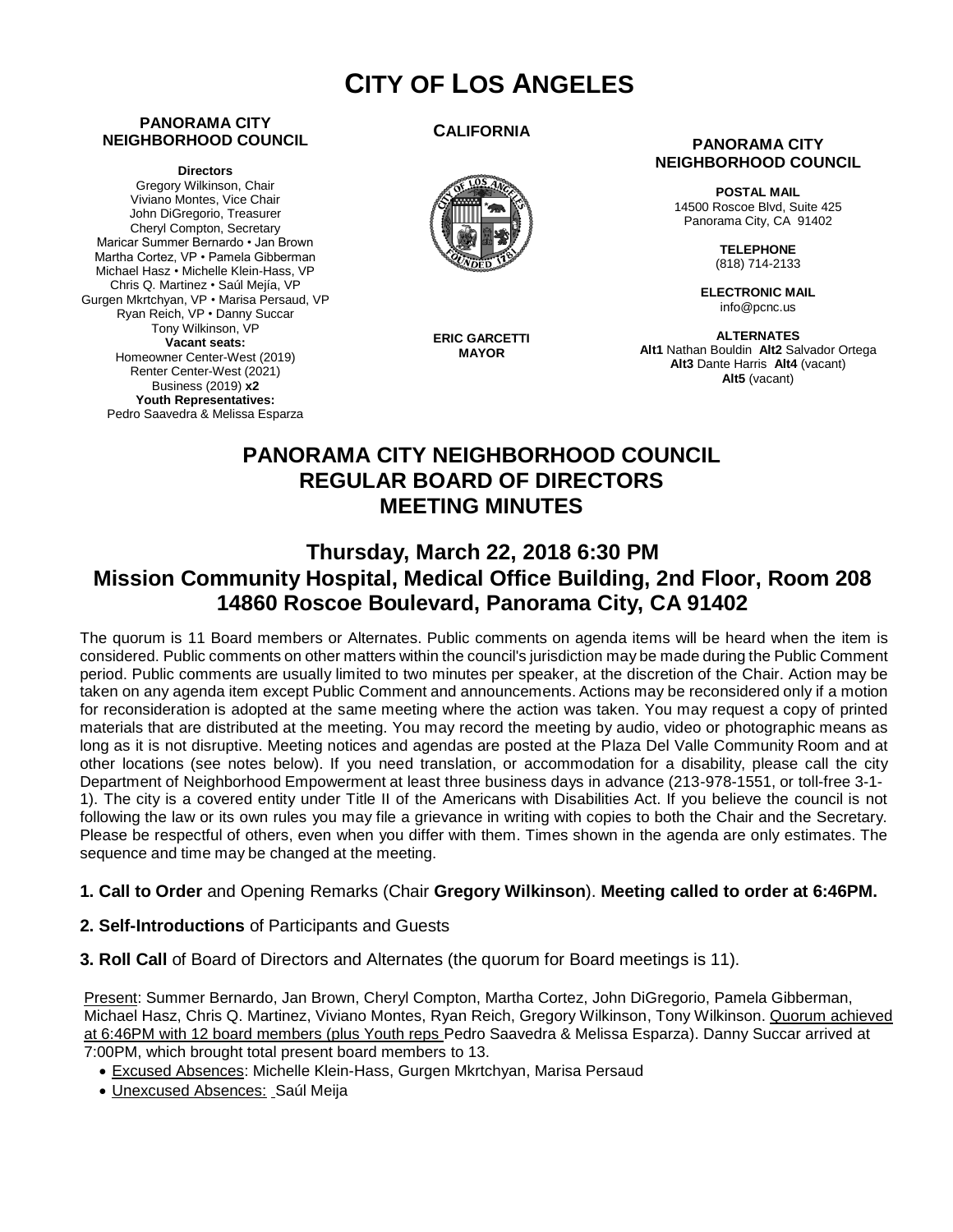# **CITY OF LOS ANGELES**

#### **PANORAMA CITY NEIGHBORHOOD COUNCIL**

**Directors**

Gregory Wilkinson, Chair Viviano Montes, Vice Chair John DiGregorio, Treasurer Cheryl Compton, Secretary Maricar Summer Bernardo • Jan Brown Martha Cortez, VP • Pamela Gibberman Michael Hasz • Michelle Klein-Hass, VP Chris Q. Martinez • Saúl Mejía, VP Gurgen Mkrtchyan, VP • Marisa Persaud, VP Ryan Reich, VP • Danny Succar Tony Wilkinson, VP **Vacant seats:**  Homeowner Center-West (2019) Renter Center-West (2021) Business (2019) **x2 Youth Representatives:**  Pedro Saavedra & Melissa Esparza

#### **CALIFORNIA**



**ERIC GARCETTI MAYOR**

#### **PANORAMA CITY NEIGHBORHOOD COUNCIL**

**POSTAL MAIL** 14500 Roscoe Blvd, Suite 425 Panorama City, CA 91402

> **TELEPHONE** (818) 714-2133

**ELECTRONIC MAIL** info@pcnc.us

**ALTERNATES Alt1** Nathan Bouldin **Alt2** Salvador Ortega **Alt3** Dante Harris **Alt4** (vacant) **Alt5** (vacant)

# **PANORAMA CITY NEIGHBORHOOD COUNCIL REGULAR BOARD OF DIRECTORS MEETING MINUTES**

# **Thursday, March 22, 2018 6:30 PM Mission Community Hospital, Medical Office Building, 2nd Floor, Room 208 14860 Roscoe Boulevard, Panorama City, CA 91402**

The quorum is 11 Board members or Alternates. Public comments on agenda items will be heard when the item is considered. Public comments on other matters within the council's jurisdiction may be made during the Public Comment period. Public comments are usually limited to two minutes per speaker, at the discretion of the Chair. Action may be taken on any agenda item except Public Comment and announcements. Actions may be reconsidered only if a motion for reconsideration is adopted at the same meeting where the action was taken. You may request a copy of printed materials that are distributed at the meeting. You may record the meeting by audio, video or photographic means as long as it is not disruptive. Meeting notices and agendas are posted at the Plaza Del Valle Community Room and at other locations (see notes below). If you need translation, or accommodation for a disability, please call the city Department of Neighborhood Empowerment at least three business days in advance (213-978-1551, or toll-free 3-1- 1). The city is a covered entity under Title II of the Americans with Disabilities Act. If you believe the council is not following the law or its own rules you may file a grievance in writing with copies to both the Chair and the Secretary. Please be respectful of others, even when you differ with them. Times shown in the agenda are only estimates. The sequence and time may be changed at the meeting.

# **1. Call to Order** and Opening Remarks (Chair **Gregory Wilkinson**). **Meeting called to order at 6:46PM.**

- **2. Self-Introductions** of Participants and Guests
- **3. Roll Call** of Board of Directors and Alternates (the quorum for Board meetings is 11).

Present: Summer Bernardo, Jan Brown, Cheryl Compton, Martha Cortez, John DiGregorio, Pamela Gibberman, Michael Hasz, Chris Q. Martinez, Viviano Montes, Ryan Reich, Gregory Wilkinson, Tony Wilkinson. Quorum achieved at 6:46PM with 12 board members (plus Youth reps Pedro Saavedra & Melissa Esparza). Danny Succar arrived at 7:00PM, which brought total present board members to 13.

- Excused Absences: Michelle Klein-Hass, Gurgen Mkrtchyan, Marisa Persaud
- Unexcused Absences: Saúl Meija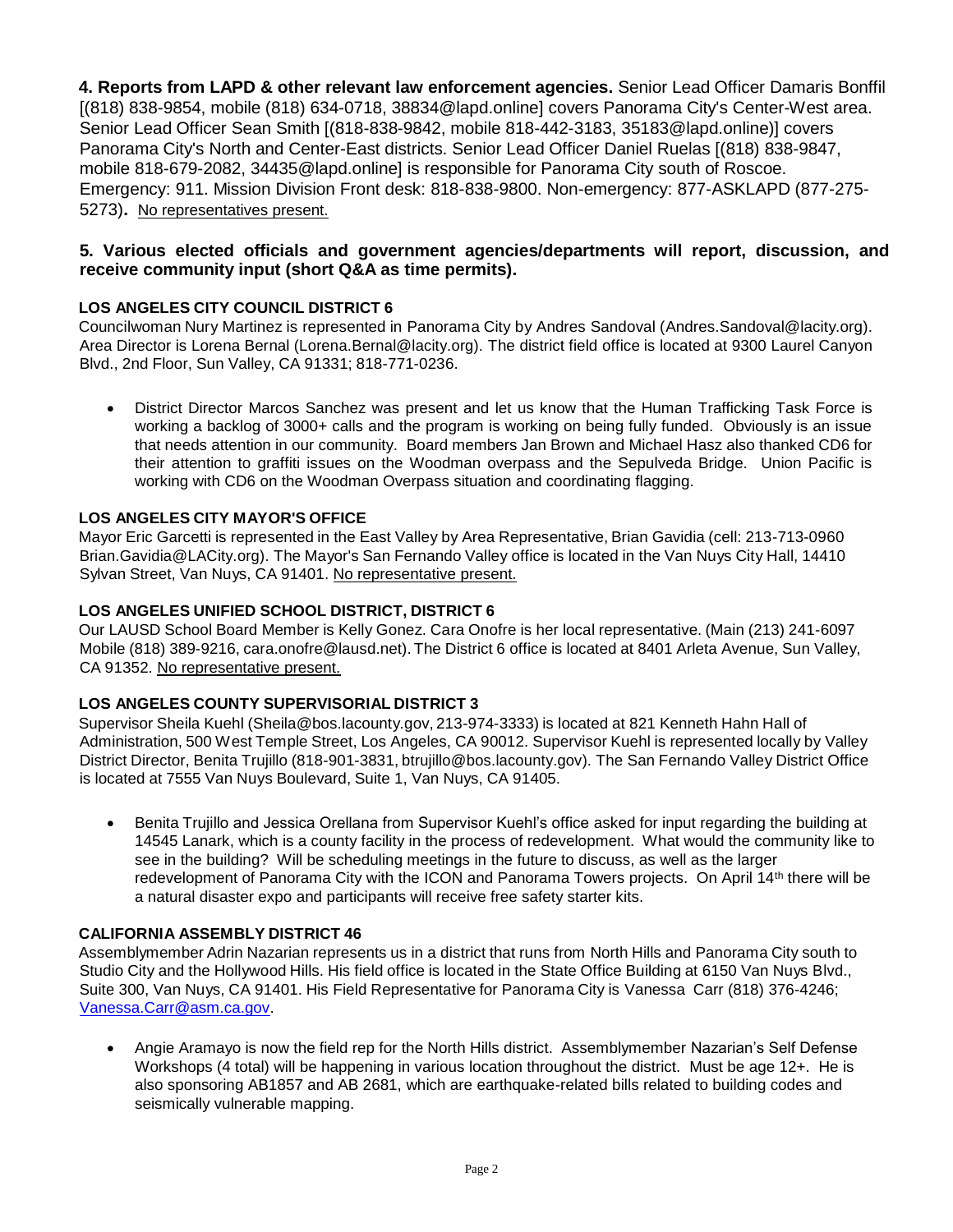**4. Reports from LAPD & other relevant law enforcement agencies.** Senior Lead Officer Damaris Bonffil [(818) 838-9854, mobile (818) 634-0718, [38834@lapd.online](mailto:38834@lapd.online)] covers Panorama City's Center-West area. Senior Lead Officer Sean Smith [(818-838-9842, mobile 818-442-3183, [35183@lapd.online](mailto:35183@lapd.online))] covers Panorama City's North and Center-East districts. Senior Lead Officer Daniel Ruelas [(818) 838-9847, mobile 818-679-208[2, 34435@lapd.online](mailto:34435@lapd.online)] is responsible for Panorama City south of Roscoe. Emergency: 911. Mission Division Front desk: 818-838-9800. Non-emergency: 877-ASKLAPD (877-275- 5273)**.** No representatives present.

# **5. Various elected officials and government agencies/departments will report, discussion, and receive community input (short Q&A as time permits).**

# **LOS ANGELES CITY COUNCIL DISTRICT 6**

Councilwoman Nury Martinez is represented in Panorama City by Andres Sandoval (Andre[s.Sandoval@lacity.org](mailto:Sandoval@lacity.org)). Area Director is Lorena Bernal (Lore[na.Bernal@lacity.org\)](mailto:Bernal@lacity.org). The district field office is located at 9300 Laurel Canyon Blvd., 2nd Floor, Sun Valley, CA 91331; 818-771-0236.

• District Director Marcos Sanchez was present and let us know that the Human Trafficking Task Force is working a backlog of 3000+ calls and the program is working on being fully funded. Obviously is an issue that needs attention in our community. Board members Jan Brown and Michael Hasz also thanked CD6 for their attention to graffiti issues on the Woodman overpass and the Sepulveda Bridge. Union Pacific is working with CD6 on the Woodman Overpass situation and coordinating flagging.

# **LOS ANGELES CITY MAYOR'S OFFICE**

Mayor Eric Garcetti is represented in the East Valley by Area Representative, Brian Gavidia (cell: 213-713-0960 Bri[an.Gavidia@LACity.org\)](mailto:Gavidia@LACity.org). The Mayor's San Fernando Valley office is located in the Van Nuys City Hall, 14410 Sylvan Street, Van Nuys, CA 91401. No representative present.

# **LOS ANGELES UNIFIED SCHOOL DISTRICT, DISTRICT 6**

Our LAUSD School Board Member is Kelly Gonez. Cara Onofre is her local representative. (Main (213) 241-6097 Mobile (818) 389-9216, ca[ra.onofre@lausd.net\).](mailto:onofre@lausd.net) The District 6 office is located at 8401 Arleta Avenue, Sun Valley, CA 91352. No representative present.

# **LOS ANGELES COUNTY SUPERVISORIAL DISTRICT 3**

Supervisor Sheila Kuehl [\(Sheila@bos.lacounty.gov,](mailto:Sheila@bos.lacounty.gov) 213-974-3333) is located at 821 Kenneth Hahn Hall of Administration, 500 West Temple Street, Los Angeles, CA 90012. Supervisor Kuehl is represented locally by Valley District Director, Benita Trujillo (818-901-3831, [btrujillo@bos.lacounty.gov\)](mailto:btrujillo@bos.lacounty.gov). The San Fernando Valley District Office is located at 7555 Van Nuys Boulevard, Suite 1, Van Nuys, CA 91405.

• Benita Trujillo and Jessica Orellana from Supervisor Kuehl's office asked for input regarding the building at 14545 Lanark, which is a county facility in the process of redevelopment. What would the community like to see in the building? Will be scheduling meetings in the future to discuss, as well as the larger redevelopment of Panorama City with the ICON and Panorama Towers projects. On April 14th there will be a natural disaster expo and participants will receive free safety starter kits.

# **CALIFORNIA ASSEMBLY DISTRICT 46**

Assemblymember Adrin Nazarian represents us in a district that runs from North Hills and Panorama City south to Studio City and the Hollywood Hills. His field office is located in the State Office Building at 6150 Van Nuys Blvd., Suite 300, Van Nuys, CA 91401. His Field Representative for Panorama City is Vanessa Carr (818) 376-4246; [Vanessa.Carr@asm.ca.gov.](mailto:Vanessa.Carr@asm.ca.gov)

• Angie Aramayo is now the field rep for the North Hills district. Assemblymember Nazarian's Self Defense Workshops (4 total) will be happening in various location throughout the district. Must be age 12+. He is also sponsoring AB1857 and AB 2681, which are earthquake-related bills related to building codes and seismically vulnerable mapping.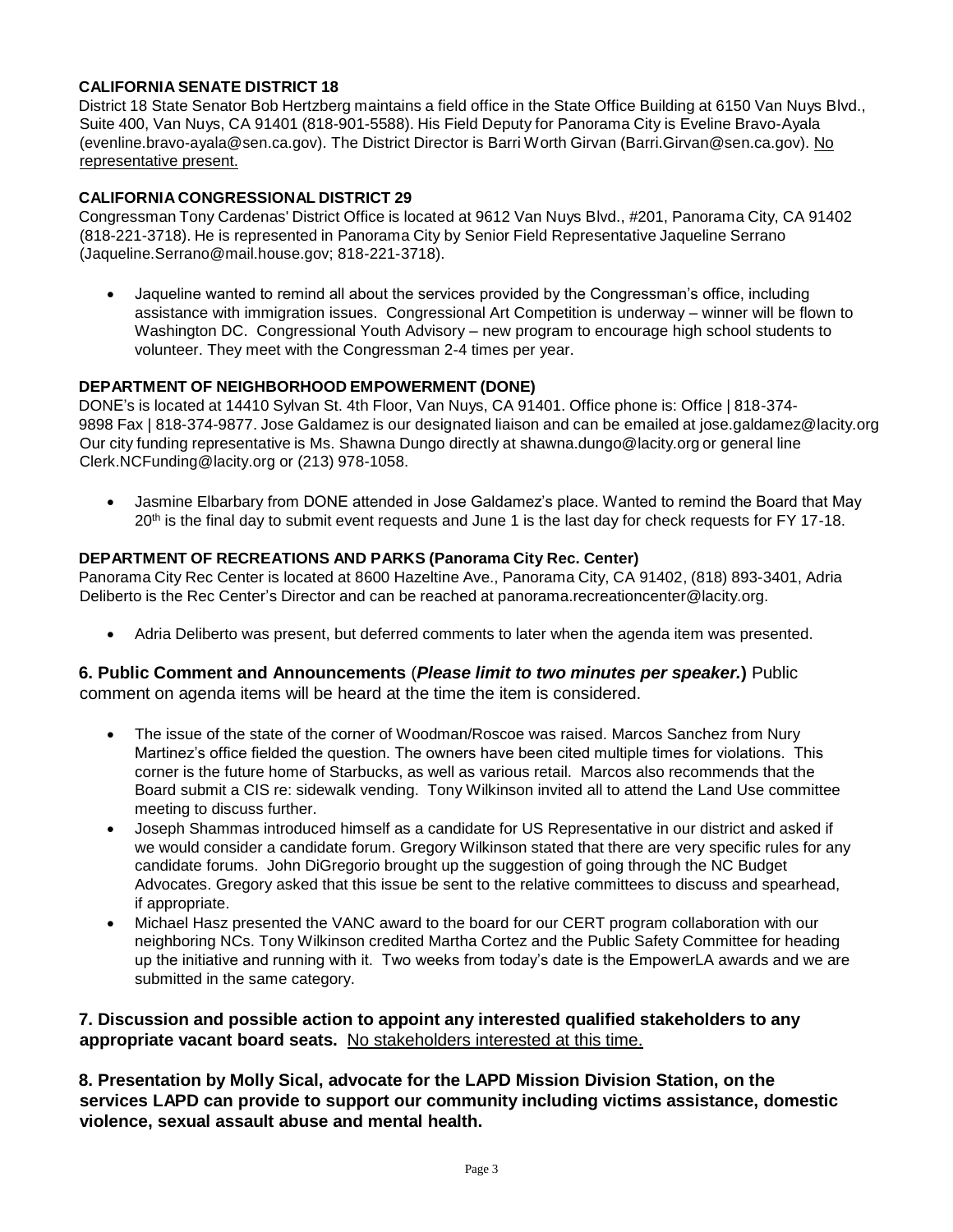#### **CALIFORNIA SENATE DISTRICT 18**

District 18 State Senator Bob Hertzberg maintains a field office in the State Office Building at 6150 Van Nuys Blvd., Suite 400, Van Nuys, CA 91401 (818-901-5588). His Field Deputy for Panorama City is Eveline Bravo-Ayala (evenlin[e.bravo-ayala@sen.ca.gov\)](mailto:bravo-ayala@sen.ca.gov). The District Director is Barri Worth Girvan (Bar[ri.Girvan@sen.ca.gov](mailto:Girvan@sen.ca.gov)). No representative present.

#### **CALIFORNIA CONGRESSIONAL DISTRICT 29**

Congressman Tony Cardenas' District Office is located at 9612 Van Nuys Blvd., #201, Panorama City, CA 91402 (818-221-3718). He is represented in Panorama City by Senior Field Representative Jaqueline Serrano (Jaqueli[ne.Serrano@mail.house.gov](mailto:Serrano@mail.house.gov); 818-221-3718).

• Jaqueline wanted to remind all about the services provided by the Congressman's office, including assistance with immigration issues. Congressional Art Competition is underway – winner will be flown to Washington DC. Congressional Youth Advisory – new program to encourage high school students to volunteer. They meet with the Congressman 2-4 times per year.

#### **DEPARTMENT OF NEIGHBORHOOD EMPOWERMENT (DONE)**

DONE's is located at 14410 Sylvan St. 4th Floor, Van Nuys, CA 91401. Office phone is: Office | 818-374- 9898 Fax | 818-374-9877. Jose Galdamez is our designated liaison and can be emailed at jo[se.galdamez@lacity.org](mailto:galdamez@lacity.org) Our city funding representative is Ms. Shawna Dungo directly at sh[awna.dungo@lacity.org](mailto:dungo@lacity.org) or general line Cler[k.NCFunding@lacity.org](mailto:NCFunding@lacity.org) or (213) 978-1058.

• Jasmine Elbarbary from DONE attended in Jose Galdamez's place. Wanted to remind the Board that May 20<sup>th</sup> is the final day to submit event requests and June 1 is the last day for check requests for FY 17-18.

#### **DEPARTMENT OF RECREATIONS AND PARKS (Panorama City Rec. Center)**

Panorama City Rec Center is located at 8600 Hazeltine Ave., Panorama City, CA 91402, (818) 893-3401, Adria Deliberto is the Rec Center's Director and can be reached at panora[ma.recreationcenter@lacity.org.](mailto:recreationcenter@lacity.org)

• Adria Deliberto was present, but deferred comments to later when the agenda item was presented.

#### **6. Public Comment and Announcements** (*Please limit to two minutes per speaker.***)** Public comment on agenda items will be heard at the time the item is considered.

- The issue of the state of the corner of Woodman/Roscoe was raised. Marcos Sanchez from Nury Martinez's office fielded the question. The owners have been cited multiple times for violations. This corner is the future home of Starbucks, as well as various retail. Marcos also recommends that the Board submit a CIS re: sidewalk vending. Tony Wilkinson invited all to attend the Land Use committee meeting to discuss further.
- Joseph Shammas introduced himself as a candidate for US Representative in our district and asked if we would consider a candidate forum. Gregory Wilkinson stated that there are very specific rules for any candidate forums. John DiGregorio brought up the suggestion of going through the NC Budget Advocates. Gregory asked that this issue be sent to the relative committees to discuss and spearhead, if appropriate.
- Michael Hasz presented the VANC award to the board for our CERT program collaboration with our neighboring NCs. Tony Wilkinson credited Martha Cortez and the Public Safety Committee for heading up the initiative and running with it. Two weeks from today's date is the EmpowerLA awards and we are submitted in the same category.

#### **7. Discussion and possible action to appoint any interested qualified stakeholders to any appropriate vacant board seats.** No stakeholders interested at this time.

**8. Presentation by Molly Sical, advocate for the LAPD Mission Division Station, on the services LAPD can provide to support our community including victims assistance, domestic violence, sexual assault abuse and mental health.**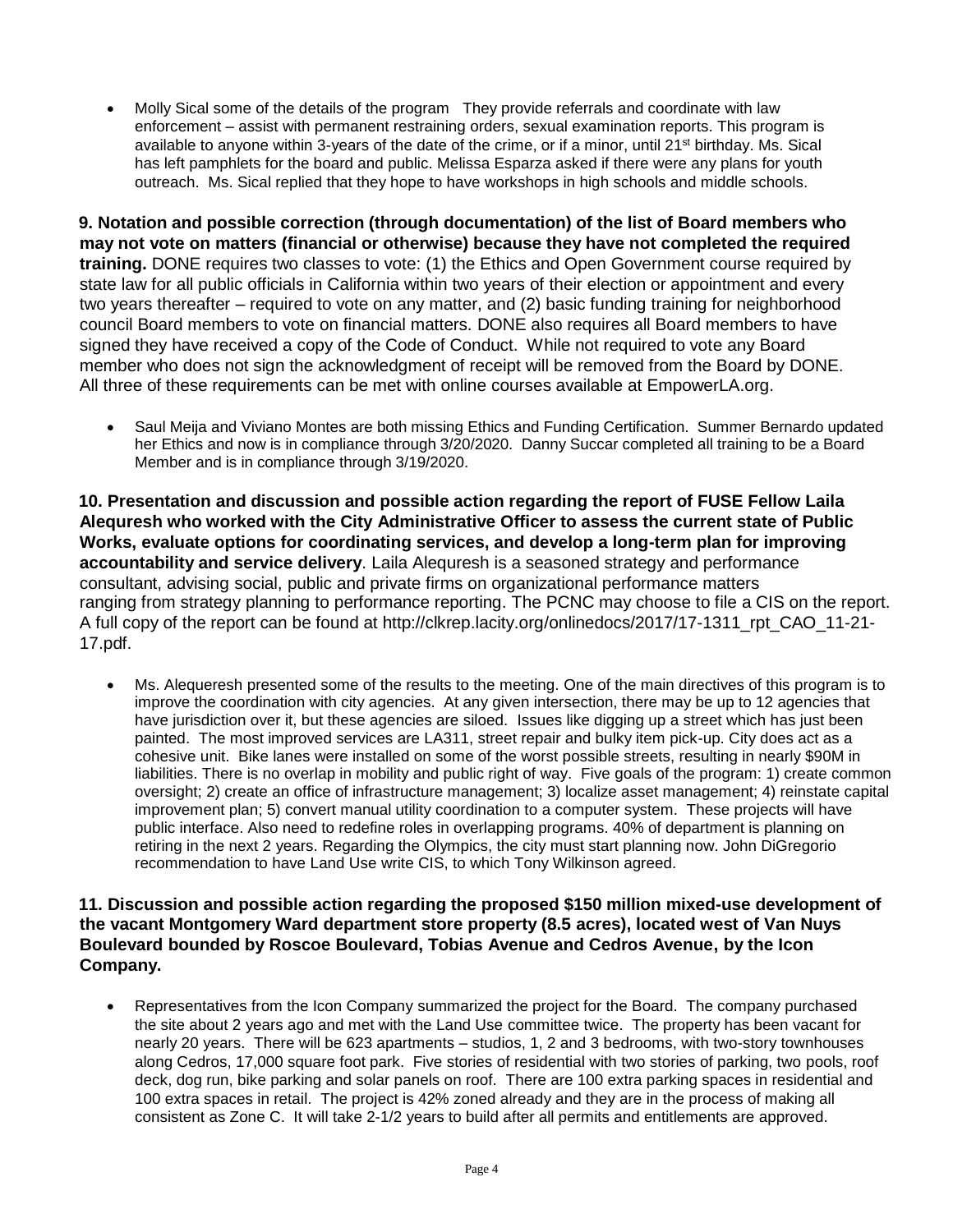• Molly Sical some of the details of the program They provide referrals and coordinate with law enforcement – assist with permanent restraining orders, sexual examination reports. This program is available to anyone within 3-years of the date of the crime, or if a minor, until 21<sup>st</sup> birthday. Ms. Sical has left pamphlets for the board and public. Melissa Esparza asked if there were any plans for youth outreach. Ms. Sical replied that they hope to have workshops in high schools and middle schools.

**9. Notation and possible correction (through documentation) of the list of Board members who may not vote on matters (financial or otherwise) because they have not completed the required training.** DONE requires two classes to vote: (1) the Ethics and Open Government course required by state law for all public officials in California within two years of their election or appointment and every two years thereafter – required to vote on any matter, and (2) basic funding training for neighborhood council Board members to vote on financial matters. DONE also requires all Board members to have signed they have received a copy of the Code of Conduct. While not required to vote any Board member who does not sign the acknowledgment of receipt will be removed from the Board by DONE. All three of these requirements can be met with online courses available at EmpowerLA.org.

• Saul Meija and Viviano Montes are both missing Ethics and Funding Certification. Summer Bernardo updated her Ethics and now is in compliance through 3/20/2020. Danny Succar completed all training to be a Board Member and is in compliance through 3/19/2020.

**10. Presentation and discussion and possible action regarding the report of FUSE Fellow Laila Alequresh who worked with the City Administrative Officer to assess the current state of Public Works, evaluate options for coordinating services, and develop a long-term plan for improving accountability and service delivery**. Laila Alequresh is a seasoned strategy and performance consultant, advising social, public and private firms on organizational performance matters ranging from strategy planning to performance reporting. The PCNC may choose to file a CIS on the report. A full copy of the report can be found at [http://clkrep.lacity.org/onlinedocs/2017/17-1311\\_rpt\\_CAO\\_11-21-](http://clkrep.lacity.org/onlinedocs/2017/17-1311_rpt_CAO_11-21-) 17.pdf.

• Ms. Alequeresh presented some of the results to the meeting. One of the main directives of this program is to improve the coordination with city agencies. At any given intersection, there may be up to 12 agencies that have jurisdiction over it, but these agencies are siloed. Issues like digging up a street which has just been painted. The most improved services are LA311, street repair and bulky item pick-up. City does act as a cohesive unit. Bike lanes were installed on some of the worst possible streets, resulting in nearly \$90M in liabilities. There is no overlap in mobility and public right of way. Five goals of the program: 1) create common oversight; 2) create an office of infrastructure management; 3) localize asset management; 4) reinstate capital improvement plan; 5) convert manual utility coordination to a computer system. These projects will have public interface. Also need to redefine roles in overlapping programs. 40% of department is planning on retiring in the next 2 years. Regarding the Olympics, the city must start planning now. John DiGregorio recommendation to have Land Use write CIS, to which Tony Wilkinson agreed.

# **11. Discussion and possible action regarding the proposed \$150 million mixed-use development of the vacant Montgomery Ward department store property (8.5 acres), located west of Van Nuys Boulevard bounded by Roscoe Boulevard, Tobias Avenue and Cedros Avenue, by the Icon Company.**

• Representatives from the Icon Company summarized the project for the Board. The company purchased the site about 2 years ago and met with the Land Use committee twice. The property has been vacant for nearly 20 years. There will be 623 apartments – studios, 1, 2 and 3 bedrooms, with two-story townhouses along Cedros, 17,000 square foot park. Five stories of residential with two stories of parking, two pools, roof deck, dog run, bike parking and solar panels on roof. There are 100 extra parking spaces in residential and 100 extra spaces in retail. The project is 42% zoned already and they are in the process of making all consistent as Zone C. It will take 2-1/2 years to build after all permits and entitlements are approved.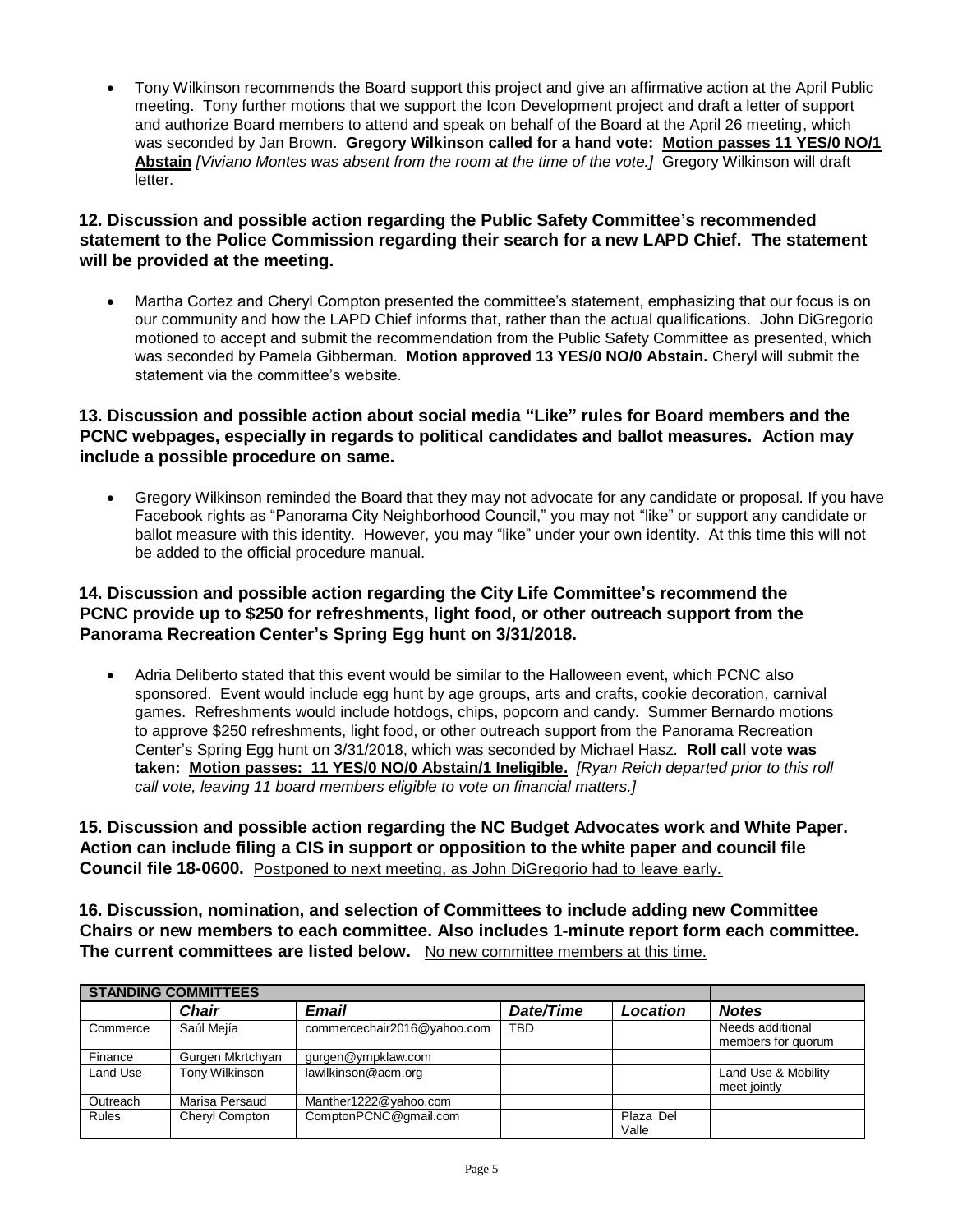• Tony Wilkinson recommends the Board support this project and give an affirmative action at the April Public meeting. Tony further motions that we support the Icon Development project and draft a letter of support and authorize Board members to attend and speak on behalf of the Board at the April 26 meeting, which was seconded by Jan Brown. **Gregory Wilkinson called for a hand vote: Motion passes 11 YES/0 NO/1 Abstain** *[Viviano Montes was absent from the room at the time of the vote.]* Gregory Wilkinson will draft letter.

## **12. Discussion and possible action regarding the Public Safety Committee's recommended statement to the Police Commission regarding their search for a new LAPD Chief. The statement will be provided at the meeting.**

• Martha Cortez and Cheryl Compton presented the committee's statement, emphasizing that our focus is on our community and how the LAPD Chief informs that, rather than the actual qualifications. John DiGregorio motioned to accept and submit the recommendation from the Public Safety Committee as presented, which was seconded by Pamela Gibberman. **Motion approved 13 YES/0 NO/0 Abstain.** Cheryl will submit the statement via the committee's website.

# **13. Discussion and possible action about social media "Like" rules for Board members and the PCNC webpages, especially in regards to political candidates and ballot measures. Action may include a possible procedure on same.**

• Gregory Wilkinson reminded the Board that they may not advocate for any candidate or proposal. If you have Facebook rights as "Panorama City Neighborhood Council," you may not "like" or support any candidate or ballot measure with this identity. However, you may "like" under your own identity. At this time this will not be added to the official procedure manual.

# **14. Discussion and possible action regarding the City Life Committee's recommend the PCNC provide up to \$250 for refreshments, light food, or other outreach support from the Panorama Recreation Center's Spring Egg hunt on 3/31/2018.**

• Adria Deliberto stated that this event would be similar to the Halloween event, which PCNC also sponsored. Event would include egg hunt by age groups, arts and crafts, cookie decoration, carnival games. Refreshments would include hotdogs, chips, popcorn and candy. Summer Bernardo motions to approve \$250 refreshments, light food, or other outreach support from the Panorama Recreation Center's Spring Egg hunt on 3/31/2018, which was seconded by Michael Hasz. **Roll call vote was taken: Motion passes: 11 YES/0 NO/0 Abstain/1 Ineligible.** *[Ryan Reich departed prior to this roll call vote, leaving 11 board members eligible to vote on financial matters.]*

**15. Discussion and possible action regarding the NC Budget Advocates work and White Paper. Action can include filing a CIS in support or opposition to the white paper and council file Council file 18-0600.** Postponed to next meeting, as John DiGregorio had to leave early.

**16. Discussion, nomination, and selection of Committees to include adding new Committee Chairs or new members to each committee. Also includes 1-minute report form each committee. The current committees are listed below.** No new committee members at this time.

| <b>STANDING COMMITTEES</b> |                  |                             |            |                    |                                        |
|----------------------------|------------------|-----------------------------|------------|--------------------|----------------------------------------|
|                            | <b>Chair</b>     | <b>Email</b>                | Date/Time  | Location           | <b>Notes</b>                           |
| Commerce                   | Saúl Mejía       | commercechair2016@yahoo.com | <b>TBD</b> |                    | Needs additional<br>members for quorum |
| Finance                    | Gurgen Mkrtchyan | gurgen@ympklaw.com          |            |                    |                                        |
| Land Use                   | Tony Wilkinson   | lawilkinson@acm.org         |            |                    | Land Use & Mobility<br>meet jointly    |
| Outreach                   | Marisa Persaud   | Manther1222@yahoo.com       |            |                    |                                        |
| <b>Rules</b>               | Cheryl Compton   | ComptonPCNC@qmail.com       |            | Plaza Del<br>Valle |                                        |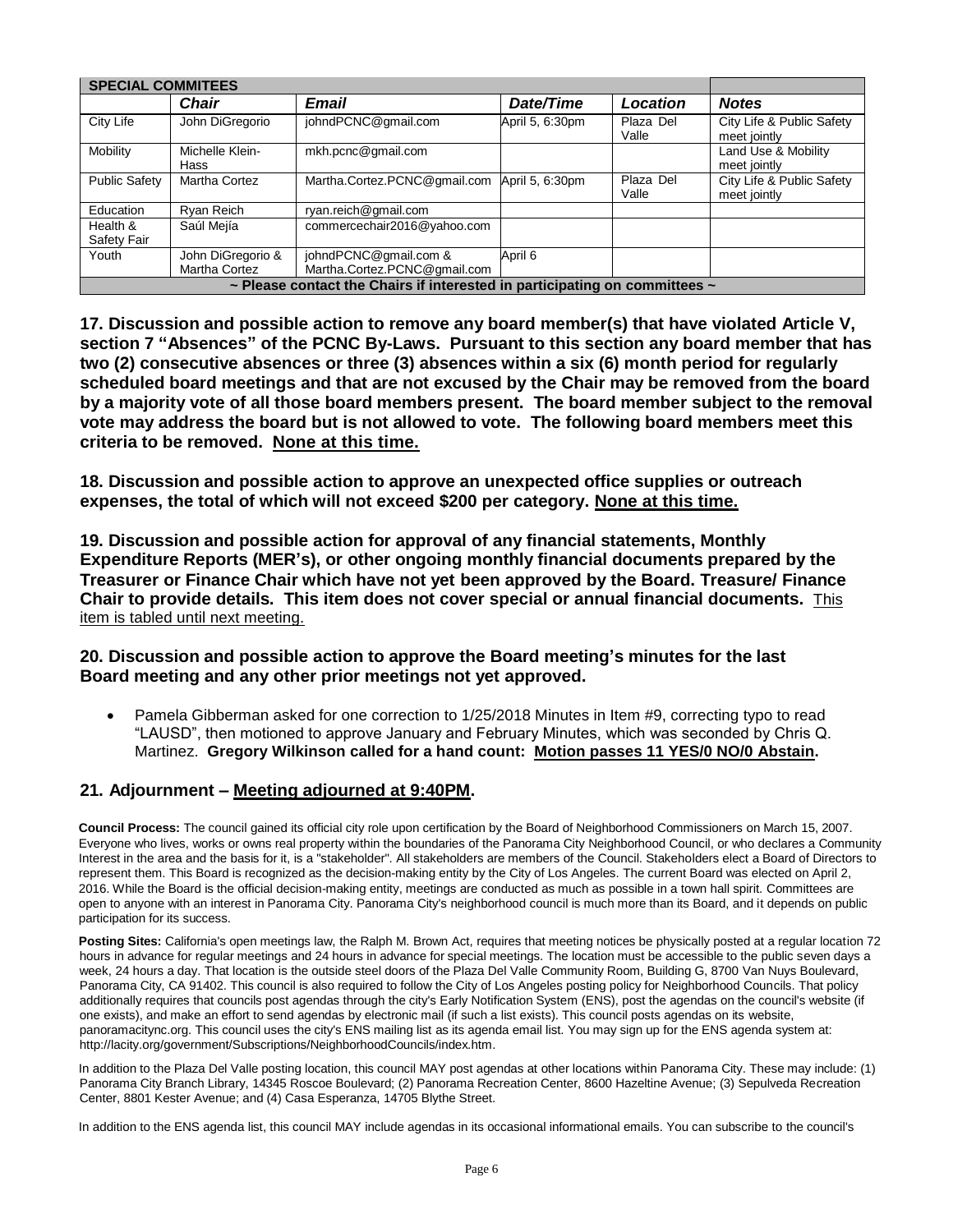| <b>SPECIAL COMMITEES</b>                                                   |                                    |                                                       |                 |                    |                                           |  |  |  |
|----------------------------------------------------------------------------|------------------------------------|-------------------------------------------------------|-----------------|--------------------|-------------------------------------------|--|--|--|
|                                                                            | <b>Chair</b>                       | <b>Email</b>                                          | Date/Time       | Location           | <b>Notes</b>                              |  |  |  |
| City Life                                                                  | John DiGregorio                    | johndPCNC@gmail.com                                   | April 5, 6:30pm | Plaza Del<br>Valle | City Life & Public Safety<br>meet jointly |  |  |  |
| Mobility                                                                   | Michelle Klein-<br>Hass            | mkh.pcnc@gmail.com                                    |                 |                    | Land Use & Mobility<br>meet jointly       |  |  |  |
| <b>Public Safety</b>                                                       | Martha Cortez                      | Martha.Cortez.PCNC@gmail.com                          | April 5, 6:30pm | Plaza Del<br>Valle | City Life & Public Safety<br>meet jointly |  |  |  |
| Education                                                                  | Ryan Reich                         | ryan.reich@gmail.com                                  |                 |                    |                                           |  |  |  |
| Health &<br>Safety Fair                                                    | Saúl Mejía                         | commercechair2016@yahoo.com                           |                 |                    |                                           |  |  |  |
| Youth                                                                      | John DiGregorio &<br>Martha Cortez | johndPCNC@gmail.com &<br>Martha.Cortez.PCNC@gmail.com | April 6         |                    |                                           |  |  |  |
| ~ Please contact the Chairs if interested in participating on committees ~ |                                    |                                                       |                 |                    |                                           |  |  |  |

**17. Discussion and possible action to remove any board member(s) that have violated Article V, section 7 "Absences" of the PCNC By-Laws. Pursuant to this section any board member that has two (2) consecutive absences or three (3) absences within a six (6) month period for regularly scheduled board meetings and that are not excused by the Chair may be removed from the board by a majority vote of all those board members present. The board member subject to the removal vote may address the board but is not allowed to vote. The following board members meet this criteria to be removed. None at this time.**

**18. Discussion and possible action to approve an unexpected office supplies or outreach expenses, the total of which will not exceed \$200 per category. None at this time.**

**19. Discussion and possible action for approval of any financial statements, Monthly Expenditure Reports (MER's), or other ongoing monthly financial documents prepared by the Treasurer or Finance Chair which have not yet been approved by the Board. Treasure/ Finance Chair to provide details. This item does not cover special or annual financial documents.** This item is tabled until next meeting.

#### **20. Discussion and possible action to approve the Board meeting's minutes for the last Board meeting and any other prior meetings not yet approved.**

• Pamela Gibberman asked for one correction to 1/25/2018 Minutes in Item #9, correcting typo to read "LAUSD", then motioned to approve January and February Minutes, which was seconded by Chris Q. Martinez. **Gregory Wilkinson called for a hand count: Motion passes 11 YES/0 NO/0 Abstain.**

#### **21. Adjournment – Meeting adjourned at 9:40PM.**

**Council Process:** The council gained its official city role upon certification by the Board of Neighborhood Commissioners on March 15, 2007. Everyone who lives, works or owns real property within the boundaries of the Panorama City Neighborhood Council, or who declares a Community Interest in the area and the basis for it, is a "stakeholder". All stakeholders are members of the Council. Stakeholders elect a Board of Directors to represent them. This Board is recognized as the decision-making entity by the City of Los Angeles. The current Board was elected on April 2, 2016. While the Board is the official decision-making entity, meetings are conducted as much as possible in a town hall spirit. Committees are open to anyone with an interest in Panorama City. Panorama City's neighborhood council is much more than its Board, and it depends on public participation for its success.

**Posting Sites:** California's open meetings law, the Ralph M. Brown Act, requires that meeting notices be physically posted at a regular location 72 hours in advance for regular meetings and 24 hours in advance for special meetings. The location must be accessible to the public seven days a week, 24 hours a day. That location is the outside steel doors of the Plaza Del Valle Community Room, Building G, 8700 Van Nuys Boulevard, Panorama City, CA 91402. This council is also required to follow the City of Los Angeles posting policy for Neighborhood Councils. That policy additionally requires that councils post agendas through the city's Early Notification System (ENS), post the agendas on the council's website (if one exists), and make an effort to send agendas by electronic mail (if such a list exists). This council posts agendas on its website, panoramacitync.org. This council uses the city's ENS mailing list as its agenda email list. You may sign up for the ENS agenda system a[t:](http://lacity.org/government/Subscriptions/NeighborhoodCouncils/index.htm) [http://lacity.org/government/Subscriptions/NeighborhoodCouncils/index.htm.](http://lacity.org/government/Subscriptions/NeighborhoodCouncils/index.htm)

In addition to the Plaza Del Valle posting location, this council MAY post agendas at other locations within Panorama City. These may include: (1) Panorama City Branch Library, 14345 Roscoe Boulevard; (2) Panorama Recreation Center, 8600 Hazeltine Avenue; (3) Sepulveda Recreation Center, 8801 Kester Avenue; and (4) Casa Esperanza, 14705 Blythe Street.

In addition to the ENS agenda list, this council MAY include agendas in its occasional informational emails. You can subscribe to the council's